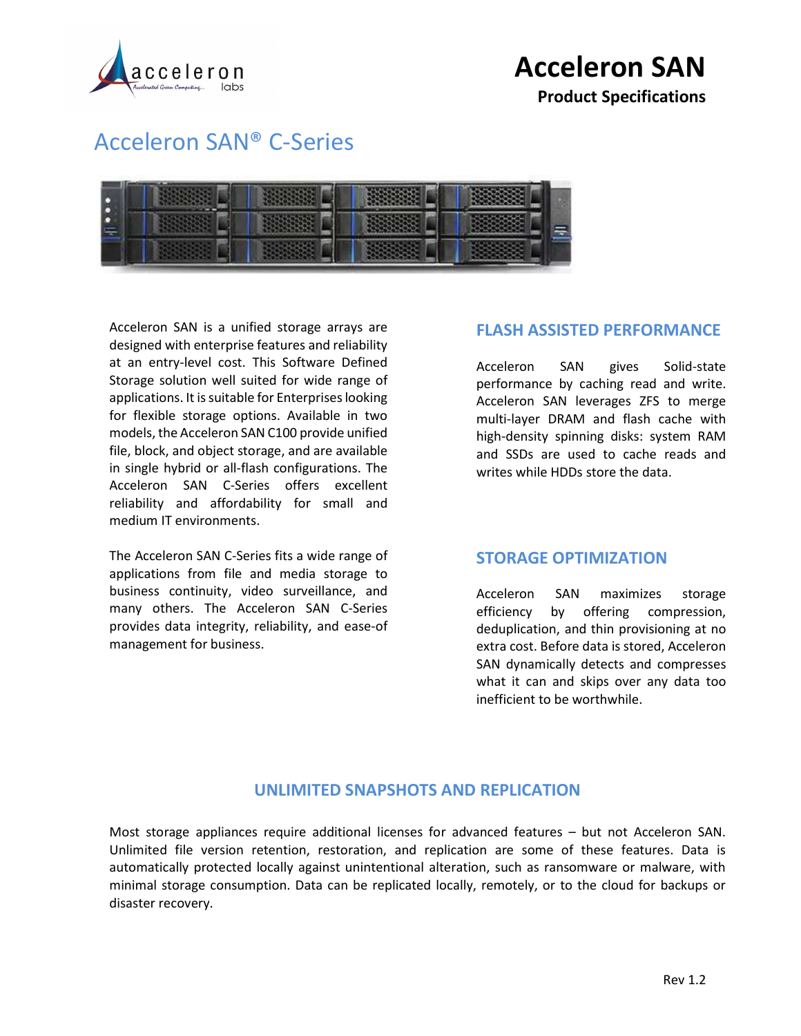

Product Specifications

### Acceleron SAN® C-Series



Acceleron SAN is a unified storage arrays are designed with enterprise features and reliability at an entry-level cost. This Software Defined Storage solution well suited for wide range of applications. It is suitable for Enterprises looking for flexible storage options. Available in two models, the Acceleron SAN C100 provide unified file, block, and object storage, and are available in single hybrid or all-flash configurations. The Acceleron SAN C-Series offers excellent reliability and affordability for small and medium IT environments.

The Acceleron SAN C-Series fits a wide range of applications from file and media storage to business continuity, video surveillance, and many others. The Acceleron SAN C-Series provides data integrity, reliability, and ease-of management for business.

#### FLASH ASSISTED PERFORMANCE

Acceleron SAN gives Solid-state performance by caching read and write. Acceleron SAN leverages ZFS to merge multi-layer DRAM and flash cache with high-density spinning disks: system RAM and SSDs are used to cache reads and writes while HDDs store the data.

#### STORAGE OPTIMIZATION

Acceleron SAN maximizes storage efficiency by offering compression, deduplication, and thin provisioning at no extra cost. Before data is stored, Acceleron SAN dynamically detects and compresses what it can and skips over any data too inefficient to be worthwhile.

#### UNLIMITED SNAPSHOTS AND REPLICATION

Most storage appliances require additional licenses for advanced features – but not Acceleron SAN. Unlimited file version retention, restoration, and replication are some of these features. Data is automatically protected locally against unintentional alteration, such as ransomware or malware, with minimal storage consumption. Data can be replicated locally, remotely, or to the cloud for backups or disaster recovery.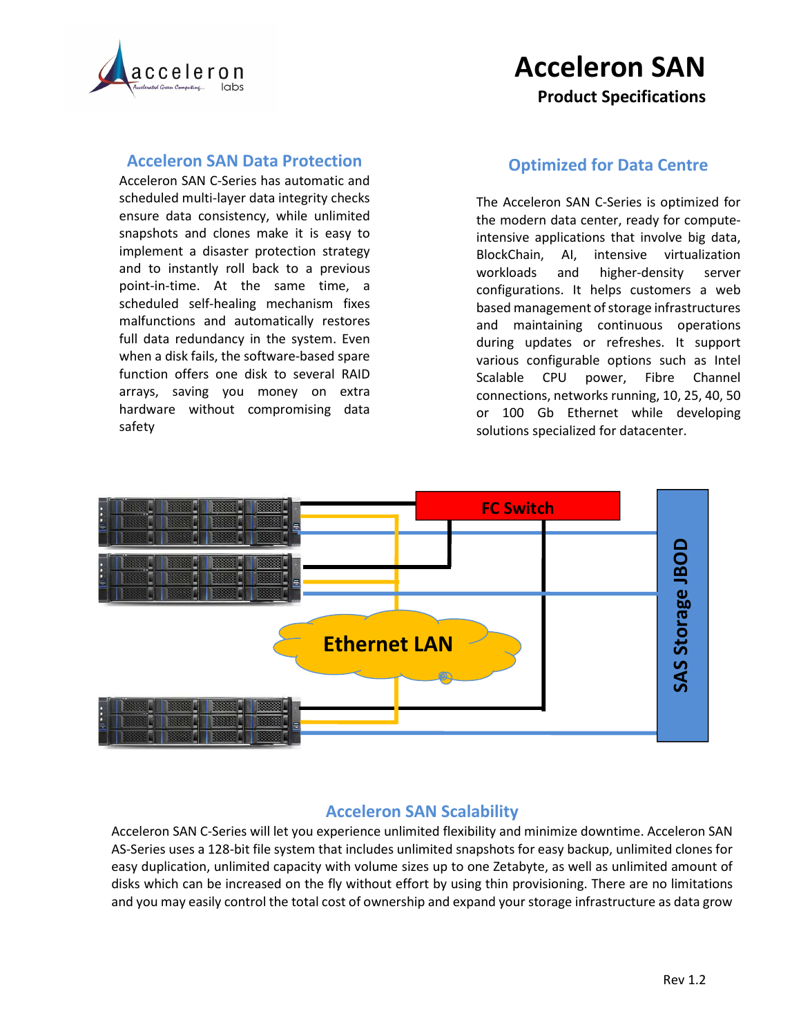

### Acceleron SAN Product Specifications

#### Acceleron SAN Data Protection

Acceleron SAN C-Series has automatic and scheduled multi-layer data integrity checks ensure data consistency, while unlimited snapshots and clones make it is easy to implement a disaster protection strategy and to instantly roll back to a previous point-in-time. At the same time, a scheduled self-healing mechanism fixes malfunctions and automatically restores full data redundancy in the system. Even when a disk fails, the software-based spare function offers one disk to several RAID arrays, saving you money on extra hardware without compromising data safety

#### Optimized for Data Centre

The Acceleron SAN C-Series is optimized for the modern data center, ready for computeintensive applications that involve big data, BlockChain, AI, intensive virtualization workloads and higher-density server configurations. It helps customers a web based management of storage infrastructures and maintaining continuous operations during updates or refreshes. It support various configurable options such as Intel Scalable CPU power, Fibre Channel connections, networks running, 10, 25, 40, 50 or 100 Gb Ethernet while developing solutions specialized for datacenter.



#### Acceleron SAN Scalability

Acceleron SAN C-Series will let you experience unlimited flexibility and minimize downtime. Acceleron SAN AS-Series uses a 128-bit file system that includes unlimited snapshots for easy backup, unlimited clones for easy duplication, unlimited capacity with volume sizes up to one Zetabyte, as well as unlimited amount of disks which can be increased on the fly without effort by using thin provisioning. There are no limitations and you may easily control the total cost of ownership and expand your storage infrastructure as data grow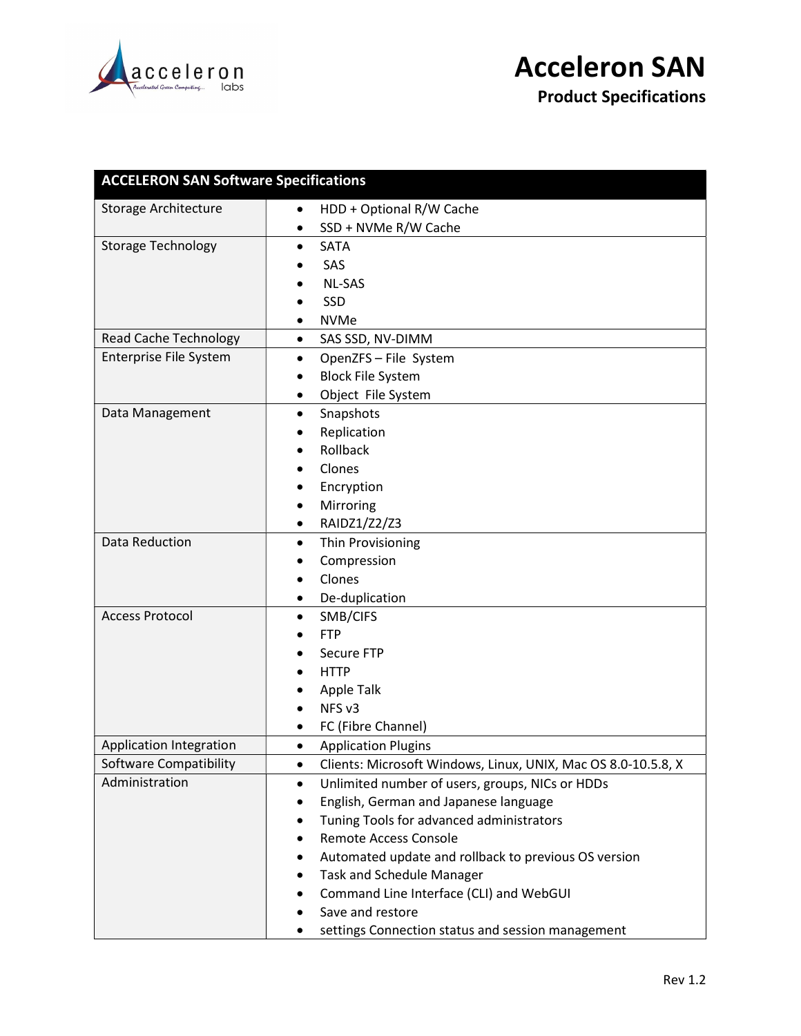

Product Specifications

| <b>ACCELERON SAN Software Specifications</b> |                                                                    |  |  |  |
|----------------------------------------------|--------------------------------------------------------------------|--|--|--|
| Storage Architecture                         | HDD + Optional R/W Cache<br>$\bullet$                              |  |  |  |
|                                              | SSD + NVMe R/W Cache                                               |  |  |  |
| <b>Storage Technology</b>                    | <b>SATA</b><br>٠                                                   |  |  |  |
|                                              | SAS                                                                |  |  |  |
|                                              | <b>NL-SAS</b>                                                      |  |  |  |
|                                              | SSD                                                                |  |  |  |
|                                              | <b>NVMe</b>                                                        |  |  |  |
| <b>Read Cache Technology</b>                 | SAS SSD, NV-DIMM<br>$\bullet$                                      |  |  |  |
| Enterprise File System                       | OpenZFS - File System<br>٠                                         |  |  |  |
|                                              | <b>Block File System</b><br>$\bullet$                              |  |  |  |
|                                              | Object File System<br>٠                                            |  |  |  |
| Data Management                              | Snapshots<br>٠                                                     |  |  |  |
|                                              | Replication                                                        |  |  |  |
|                                              | Rollback                                                           |  |  |  |
|                                              | Clones                                                             |  |  |  |
|                                              | Encryption                                                         |  |  |  |
|                                              | Mirroring<br>$\bullet$                                             |  |  |  |
|                                              | RAIDZ1/Z2/Z3<br>٠                                                  |  |  |  |
| Data Reduction                               | Thin Provisioning<br>$\bullet$                                     |  |  |  |
|                                              | Compression                                                        |  |  |  |
|                                              | Clones                                                             |  |  |  |
|                                              | De-duplication<br>٠                                                |  |  |  |
| <b>Access Protocol</b>                       | SMB/CIFS<br>٠                                                      |  |  |  |
|                                              | <b>FTP</b>                                                         |  |  |  |
|                                              | Secure FTP                                                         |  |  |  |
|                                              | <b>HTTP</b>                                                        |  |  |  |
|                                              | Apple Talk                                                         |  |  |  |
|                                              | NFS <sub>v3</sub>                                                  |  |  |  |
|                                              | FC (Fibre Channel)<br>٠                                            |  |  |  |
| Application Integration                      | <b>Application Plugins</b><br>$\bullet$                            |  |  |  |
| Software Compatibility                       | Clients: Microsoft Windows, Linux, UNIX, Mac OS 8.0-10.5.8, X<br>٠ |  |  |  |
| Administration                               | Unlimited number of users, groups, NICs or HDDs<br>٠               |  |  |  |
|                                              | English, German and Japanese language<br>$\bullet$                 |  |  |  |
|                                              | Tuning Tools for advanced administrators                           |  |  |  |
|                                              | <b>Remote Access Console</b><br>٠                                  |  |  |  |
|                                              | Automated update and rollback to previous OS version<br>$\bullet$  |  |  |  |
|                                              | <b>Task and Schedule Manager</b><br>٠                              |  |  |  |
|                                              | Command Line Interface (CLI) and WebGUI<br>٠                       |  |  |  |
|                                              | Save and restore                                                   |  |  |  |
|                                              | settings Connection status and session management                  |  |  |  |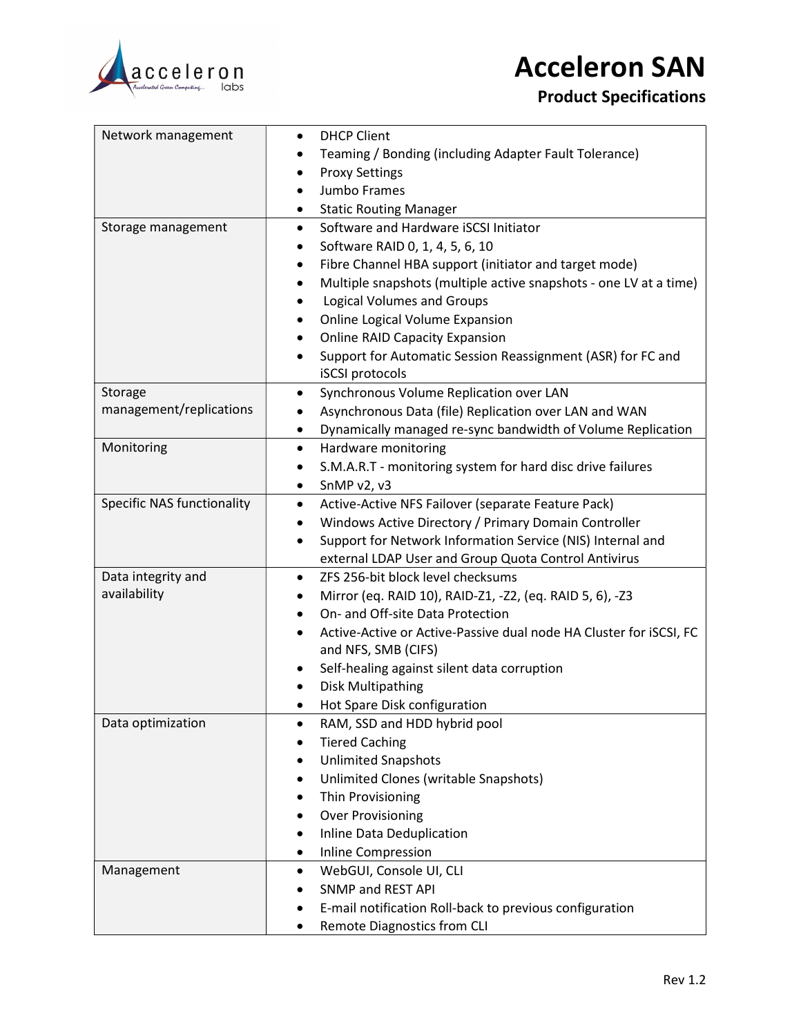

### Product Specifications

| Network management                | <b>DHCP Client</b>                                                              |
|-----------------------------------|---------------------------------------------------------------------------------|
|                                   | Teaming / Bonding (including Adapter Fault Tolerance)                           |
|                                   | <b>Proxy Settings</b>                                                           |
|                                   | Jumbo Frames<br>٠                                                               |
|                                   | <b>Static Routing Manager</b><br>٠                                              |
| Storage management                | Software and Hardware iSCSI Initiator<br>٠                                      |
|                                   | Software RAID 0, 1, 4, 5, 6, 10<br>٠                                            |
|                                   | Fibre Channel HBA support (initiator and target mode)                           |
|                                   | Multiple snapshots (multiple active snapshots - one LV at a time)<br>٠          |
|                                   | <b>Logical Volumes and Groups</b>                                               |
|                                   | Online Logical Volume Expansion                                                 |
|                                   | <b>Online RAID Capacity Expansion</b><br>٠                                      |
|                                   | Support for Automatic Session Reassignment (ASR) for FC and<br>٠                |
|                                   | iSCSI protocols                                                                 |
| Storage                           | Synchronous Volume Replication over LAN<br>$\bullet$                            |
| management/replications           | Asynchronous Data (file) Replication over LAN and WAN<br>٠                      |
|                                   | Dynamically managed re-sync bandwidth of Volume Replication<br>٠                |
| Monitoring                        | Hardware monitoring<br>$\bullet$                                                |
|                                   | S.M.A.R.T - monitoring system for hard disc drive failures<br>٠                 |
|                                   | SnMP v2, v3<br>٠                                                                |
| <b>Specific NAS functionality</b> | Active-Active NFS Failover (separate Feature Pack)<br>٠                         |
|                                   | Windows Active Directory / Primary Domain Controller<br>$\bullet$               |
|                                   | Support for Network Information Service (NIS) Internal and<br>٠                 |
|                                   | external LDAP User and Group Quota Control Antivirus                            |
| Data integrity and                | ZFS 256-bit block level checksums<br>٠                                          |
| availability                      | Mirror (eq. RAID 10), RAID-Z1, -Z2, (eq. RAID 5, 6), -Z3<br>٠                   |
|                                   | On- and Off-site Data Protection<br>٠                                           |
|                                   | Active-Active or Active-Passive dual node HA Cluster for iSCSI, FC<br>$\bullet$ |
|                                   | and NFS, SMB (CIFS)                                                             |
|                                   | Self-healing against silent data corruption<br>٠                                |
|                                   | <b>Disk Multipathing</b>                                                        |
|                                   | Hot Spare Disk configuration                                                    |
| Data optimization                 | RAM, SSD and HDD hybrid pool                                                    |
|                                   | <b>Tiered Caching</b>                                                           |
|                                   | <b>Unlimited Snapshots</b><br>٠                                                 |
|                                   | Unlimited Clones (writable Snapshots)<br>٠                                      |
|                                   | Thin Provisioning<br>٠                                                          |
|                                   | <b>Over Provisioning</b><br>٠                                                   |
|                                   | Inline Data Deduplication                                                       |
|                                   | Inline Compression<br>٠                                                         |
| Management                        | WebGUI, Console UI, CLI<br>$\bullet$                                            |
|                                   | SNMP and REST API<br>٠                                                          |
|                                   | E-mail notification Roll-back to previous configuration                         |
|                                   | Remote Diagnostics from CLI                                                     |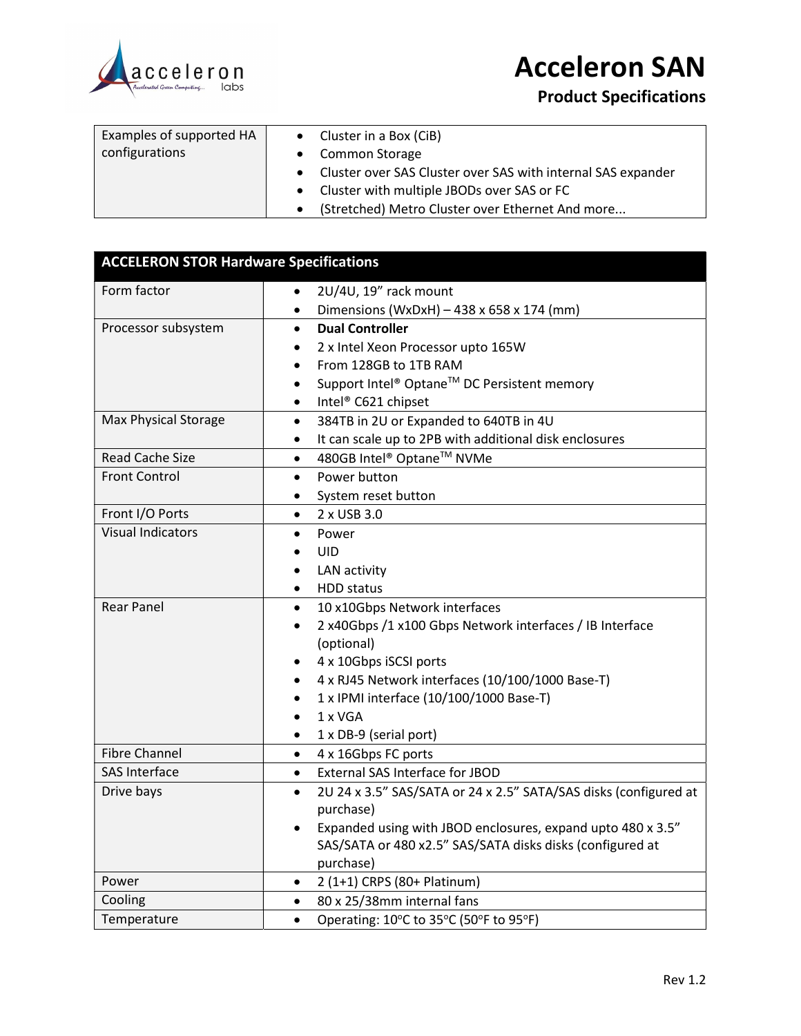

Product Specifications

| Examples of supported HA | • Cluster in a Box (CiB)                                       |
|--------------------------|----------------------------------------------------------------|
| configurations           | • Common Storage                                               |
|                          | • Cluster over SAS Cluster over SAS with internal SAS expander |
|                          | • Cluster with multiple JBODs over SAS or FC                   |
|                          | (Stretched) Metro Cluster over Ethernet And more               |

| <b>ACCELERON STOR Hardware Specifications</b> |                                                                               |  |  |
|-----------------------------------------------|-------------------------------------------------------------------------------|--|--|
| Form factor                                   | 2U/4U, 19" rack mount                                                         |  |  |
|                                               | Dimensions (WxDxH) - 438 x 658 x 174 (mm)<br>$\bullet$                        |  |  |
| Processor subsystem                           | <b>Dual Controller</b><br>$\bullet$                                           |  |  |
|                                               | 2 x Intel Xeon Processor upto 165W<br>$\bullet$                               |  |  |
|                                               | From 128GB to 1TB RAM<br>$\bullet$                                            |  |  |
|                                               | Support Intel® Optane™ DC Persistent memory<br>$\bullet$                      |  |  |
|                                               | Intel® C621 chipset<br>$\bullet$                                              |  |  |
| <b>Max Physical Storage</b>                   | 384TB in 2U or Expanded to 640TB in 4U<br>$\bullet$                           |  |  |
|                                               | It can scale up to 2PB with additional disk enclosures<br>$\bullet$           |  |  |
| <b>Read Cache Size</b>                        | 480GB Intel® Optane™ NVMe<br>$\bullet$                                        |  |  |
| <b>Front Control</b>                          | Power button<br>$\bullet$                                                     |  |  |
|                                               | System reset button<br>$\bullet$                                              |  |  |
| Front I/O Ports                               | 2 x USB 3.0<br>$\bullet$                                                      |  |  |
| <b>Visual Indicators</b>                      | Power<br>$\bullet$                                                            |  |  |
|                                               | <b>UID</b>                                                                    |  |  |
|                                               | LAN activity                                                                  |  |  |
|                                               | <b>HDD</b> status<br>$\bullet$                                                |  |  |
| <b>Rear Panel</b>                             | 10 x10Gbps Network interfaces<br>$\bullet$                                    |  |  |
|                                               | 2 x40Gbps /1 x100 Gbps Network interfaces / IB Interface                      |  |  |
|                                               | (optional)                                                                    |  |  |
|                                               | 4 x 10Gbps iSCSI ports                                                        |  |  |
|                                               | 4 x RJ45 Network interfaces (10/100/1000 Base-T)                              |  |  |
|                                               | 1 x IPMI interface (10/100/1000 Base-T)                                       |  |  |
|                                               | 1 x VGA                                                                       |  |  |
|                                               | 1 x DB-9 (serial port)<br>$\bullet$                                           |  |  |
| <b>Fibre Channel</b>                          | 4 x 16Gbps FC ports<br>$\bullet$                                              |  |  |
| <b>SAS Interface</b>                          | External SAS Interface for JBOD<br>$\bullet$                                  |  |  |
| Drive bays                                    | 2U 24 x 3.5" SAS/SATA or 24 x 2.5" SATA/SAS disks (configured at<br>$\bullet$ |  |  |
|                                               | purchase)                                                                     |  |  |
|                                               | Expanded using with JBOD enclosures, expand upto 480 x 3.5"<br>$\bullet$      |  |  |
|                                               | SAS/SATA or 480 x2.5" SAS/SATA disks disks (configured at                     |  |  |
|                                               | purchase)                                                                     |  |  |
| Power                                         | 2 (1+1) CRPS (80+ Platinum)<br>$\bullet$                                      |  |  |
| Cooling                                       | 80 x 25/38mm internal fans<br>$\bullet$                                       |  |  |
| Temperature                                   | Operating: 10°C to 35°C (50°F to 95°F)<br>$\bullet$                           |  |  |